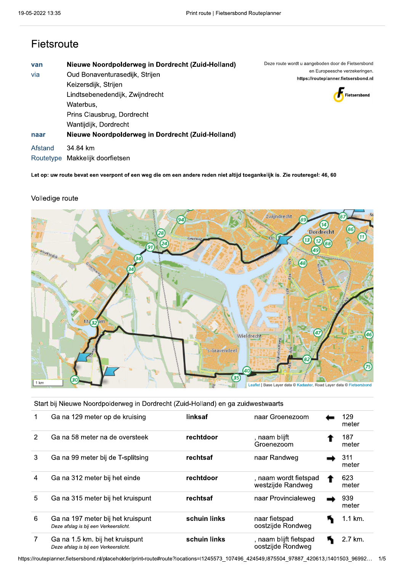# Fietsroute

| van<br>via           | Nieuwe Noordpolderweg in Dordrecht (Zuid-Holland)<br>Oud Bonaventurasedijk, Strijen<br>Keizersdijk, Strijen<br>Lindtsebenedendijk, Zwijndrecht<br>Waterbus,<br>Prins Clausbrug, Dordrecht<br>Wantijdijk, Dordrecht | Deze route wordt u aangeboden door de Fietsersbond<br>en Europeesche verzekeringen.<br>https://routeplanner.fietsersbond.nl<br>Fietsersbond |
|----------------------|--------------------------------------------------------------------------------------------------------------------------------------------------------------------------------------------------------------------|---------------------------------------------------------------------------------------------------------------------------------------------|
| naar                 | Nieuwe Noordpolderweg in Dordrecht (Zuid-Holland)                                                                                                                                                                  |                                                                                                                                             |
| Afstand<br>Routetype | 34.84 km<br>Makkelijk doorfietsen                                                                                                                                                                                  |                                                                                                                                             |

Let op: uw route bevat een veerpont of een weg die om een andere reden niet altijd toegankelijk is. Zie routeregel: 46, 60

### Volledige route



Start bij Nieuwe Noordpolderweg in Dordrecht (Zuid-Holland) en ga zuidwestwaarts

|               | Ga na 129 meter op de kruising                                             | linksaf      | naar Groenezoom                             | 129<br>meter |
|---------------|----------------------------------------------------------------------------|--------------|---------------------------------------------|--------------|
| $\mathcal{P}$ | Ga na 58 meter na de oversteek                                             | rechtdoor    | , naam blijft<br>Groenezoom                 | 187<br>meter |
| 3             | Ga na 99 meter bij de T-splitsing                                          | rechtsaf     | naar Randweg                                | 311<br>meter |
| 4             | Ga na 312 meter bij het einde                                              | rechtdoor    | , naam wordt fietspad<br>westzijde Randweg  | 623<br>meter |
| 5             | Ga na 315 meter bij het kruispunt                                          | rechtsaf     | naar Provincialeweg                         | 939<br>meter |
| 6             | Ga na 197 meter bij het kruispunt<br>Deze afslag is bij een Verkeerslicht. | schuin links | naar fietspad<br>oostzijde Rondweg          | 1.1 km.      |
| $\mathbf{7}$  | Ga na 1.5 km. bij het kruispunt<br>Deze afslag is bij een Verkeerslicht.   | schuin links | , naam blijft fietspad<br>oostzijde Rondweg | 2.7 km.      |

https://routeplanner.fietsersbond.nl/placeholder/print-route#route?locations=l1245573\_107496\_424549,l875504\_97887\_420613,l1401503\_96992... 1/5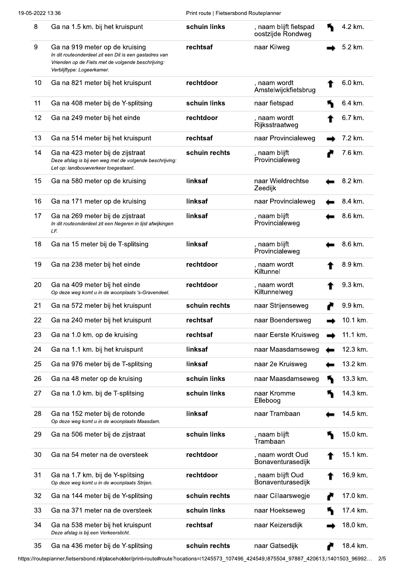| 8  | Ga na 1.5 km. bij het kruispunt                                                                                                                                              | schuin links  | , naam blijft fietspad<br>oostzijde Rondweg | 4.2 km.  |
|----|------------------------------------------------------------------------------------------------------------------------------------------------------------------------------|---------------|---------------------------------------------|----------|
| 9  | Ga na 919 meter op de kruising<br>In dit routeonderdeel zit een Dit is een gastadres van<br>Vrienden op de Fiets met de volgende beschrijving:<br>Verblijftype: Logeerkamer. | rechtsaf      | naar Kilweg                                 | 5.2 km.  |
| 10 | Ga na 821 meter bij het kruispunt                                                                                                                                            | rechtdoor     | , naam wordt<br>Amstelwijckfietsbrug        | 6.0 km.  |
| 11 | Ga na 408 meter bij de Y-splitsing                                                                                                                                           | schuin links  | naar fietspad                               | 6.4 km.  |
| 12 | Ga na 249 meter bij het einde                                                                                                                                                | rechtdoor     | , naam wordt<br>Rijksstraatweg              | 6.7 km.  |
| 13 | Ga na 514 meter bij het kruispunt                                                                                                                                            | rechtsaf      | naar Provincialeweg                         | 7.2 km.  |
| 14 | Ga na 423 meter bij de zijstraat<br>Deze afslag is bij een weg met de volgende beschrijving:<br>Let op: landbouwverkeer toegestaan!.                                         | schuin rechts | , naam blijft<br>Provincialeweg             | 7.6 km.  |
| 15 | Ga na 580 meter op de kruising                                                                                                                                               | linksaf       | naar Wieldrechtse<br>Zeedijk                | 8.2 km.  |
| 16 | Ga na 171 meter op de kruising                                                                                                                                               | linksaf       | naar Provincialeweg                         | 8.4 km.  |
| 17 | Ga na 269 meter bij de zijstraat<br>In dit routeonderdeel zit een Negeren in lijst afwijkingen<br>LF.                                                                        | linksaf       | , naam blijft<br>Provincialeweg             | 8.6 km.  |
| 18 | Ga na 15 meter bij de T-splitsing                                                                                                                                            | linksaf       | , naam blijft<br>Provincialeweg             | 8.6 km.  |
| 19 | Ga na 238 meter bij het einde                                                                                                                                                | rechtdoor     | , naam wordt<br>Kiltunnel                   | 8.9 km.  |
| 20 | Ga na 409 meter bij het einde<br>Op deze weg komt u in de woonplaats 's-Gravendeel.                                                                                          | rechtdoor     | , naam wordt<br>Kiltunnelweg                | 9.3 km.  |
| 21 | Ga na 572 meter bij het kruispunt                                                                                                                                            | schuin rechts | naar Strijenseweg                           | 9.9 km.  |
| 22 | Ga na 240 meter bij het kruispunt                                                                                                                                            | rechtsaf      | naar Boendersweg                            | 10.1 km. |
| 23 | Ga na 1.0 km. op de kruising                                                                                                                                                 | rechtsaf      | naar Eerste Kruisweg                        | 11.1 km. |
| 24 | Ga na 1.1 km. bij het kruispunt                                                                                                                                              | linksaf       | naar Maasdamseweg                           | 12.3 km. |
| 25 | Ga na 976 meter bij de T-splitsing                                                                                                                                           | linksaf       | naar 2e Kruisweg                            | 13.2 km. |
| 26 | Ga na 48 meter op de kruising                                                                                                                                                | schuin links  | naar Maasdamseweg                           | 13.3 km. |
| 27 | Ga na 1.0 km. bij de T-splitsing                                                                                                                                             | schuin links  | naar Kromme<br>Elleboog                     | 14.3 km. |
| 28 | Ga na 152 meter bij de rotonde<br>Op deze weg komt u in de woonplaats Maasdam.                                                                                               | linksaf       | naar Trambaan                               | 14.5 km. |
| 29 | Ga na 506 meter bij de zijstraat                                                                                                                                             | schuin links  | , naam blijft<br>Trambaan                   | 15.0 km. |
| 30 | Ga na 54 meter na de oversteek                                                                                                                                               | rechtdoor     | , naam wordt Oud<br>Bonaventurasedijk       | 15.1 km. |
| 31 | Ga na 1.7 km. bij de Y-splitsing<br>Op deze weg komt u in de woonplaats Strijen.                                                                                             | rechtdoor     | , naam blijft Oud<br>Bonaventurasedijk      | 16.9 km. |
| 32 | Ga na 144 meter bij de Y-splitsing                                                                                                                                           | schuin rechts | naar Cillaarswegje                          | 17.0 km. |
| 33 | Ga na 371 meter na de oversteek                                                                                                                                              | schuin links  | naar Hoekseweg                              | 17.4 km. |
| 34 | Ga na 538 meter bij het kruispunt<br>Deze afslag is bij een Verkeerslicht.                                                                                                   | rechtsaf      | naar Keizersdijk                            | 18.0 km. |
| 35 | Ga na 436 meter bij de Y-splitsing                                                                                                                                           | schuin rechts | naar Gatsedijk                              | 18.4 km. |

https://routeplanner.fietsersbond.nl/placeholder/print-route#route?locations=l1245573\_107496\_424549,l875504\_97887\_420613,l1401503\_96992... 2/5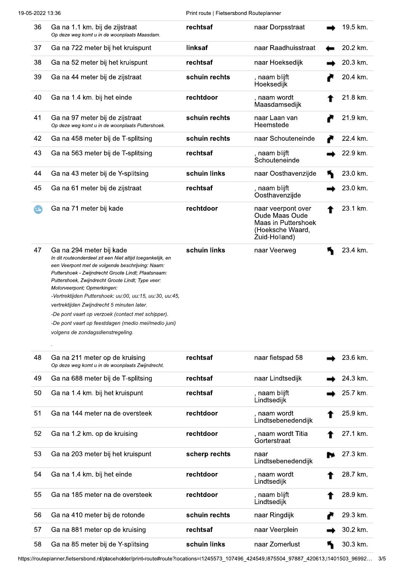Print route | Fietsersbond Routeplanner

| 36  | Ga na 1.1 km. bij de zijstraat<br>Op deze weg komt u in de woonplaats Maasdam.                                                                                                                                                                                                                                                                                                                                                                                                                                                                  | rechtsaf      | naar Dorpsstraat                                                                                 | 19.5 km. |
|-----|-------------------------------------------------------------------------------------------------------------------------------------------------------------------------------------------------------------------------------------------------------------------------------------------------------------------------------------------------------------------------------------------------------------------------------------------------------------------------------------------------------------------------------------------------|---------------|--------------------------------------------------------------------------------------------------|----------|
| 37  | Ga na 722 meter bij het kruispunt                                                                                                                                                                                                                                                                                                                                                                                                                                                                                                               | linksaf       | naar Raadhuisstraat                                                                              | 20.2 km. |
| 38  | Ga na 52 meter bij het kruispunt                                                                                                                                                                                                                                                                                                                                                                                                                                                                                                                | rechtsaf      | naar Hoeksedijk                                                                                  | 20.3 km. |
| 39  | Ga na 44 meter bij de zijstraat                                                                                                                                                                                                                                                                                                                                                                                                                                                                                                                 | schuin rechts | , naam blijft<br>Hoeksedijk                                                                      | 20.4 km. |
| 40  | Ga na 1.4 km. bij het einde                                                                                                                                                                                                                                                                                                                                                                                                                                                                                                                     | rechtdoor     | , naam wordt<br>Maasdamsedijk                                                                    | 21.8 km. |
| 41  | Ga na 97 meter bij de zijstraat<br>Op deze weg komt u in de woonplaats Puttershoek.                                                                                                                                                                                                                                                                                                                                                                                                                                                             | schuin rechts | naar Laan van<br>Heemstede                                                                       | 21.9 km. |
| 42  | Ga na 458 meter bij de T-splitsing                                                                                                                                                                                                                                                                                                                                                                                                                                                                                                              | schuin rechts | naar Schouteneinde                                                                               | 22.4 km. |
| 43  | Ga na 563 meter bij de T-splitsing                                                                                                                                                                                                                                                                                                                                                                                                                                                                                                              | rechtsaf      | , naam blijft<br>Schouteneinde                                                                   | 22.9 km. |
| 44  | Ga na 43 meter bij de Y-splitsing                                                                                                                                                                                                                                                                                                                                                                                                                                                                                                               | schuin links  | naar Oosthavenzijde                                                                              | 23.0 km. |
| 45  | Ga na 61 meter bij de zijstraat                                                                                                                                                                                                                                                                                                                                                                                                                                                                                                                 | rechtsaf      | , naam blijft<br>Oosthavenzijde                                                                  | 23.0 km. |
| LE, | Ga na 71 meter bij kade                                                                                                                                                                                                                                                                                                                                                                                                                                                                                                                         | rechtdoor     | naar veerpont over<br>Oude Maas Oude<br>Maas in Puttershoek<br>(Hoeksche Waard,<br>Zuid-Holland) | 23.1 km. |
| 47  | Ga na 294 meter bij kade<br>In dit routeonderdeel zit een Niet altijd toegankelijk, en<br>een Veerpont met de volgende beschrijving: Naam:<br>Puttershoek - Zwijndrecht Groote Lindt; Plaatsnaam:<br>Puttershoek, Zwijndrecht Groote Lindt; Type veer:<br>Motorveerpont; Opmerkingen:<br>-Vertrektijden Puttershoek: uu:00, uu:15, uu:30, uu:45,<br>vertrektijden Zwijndrecht 5 minuten later.<br>-De pont vaart op verzoek (contact met schipper).<br>-De pont vaart op feestdagen (medio mei/medio juni)<br>volgens de zondagsdienstregeling. | schuin links  | naar Veerweg                                                                                     | 23.4 km. |
| 48  | Ga na 211 meter op de kruising<br>Op deze weg komt u in de woonplaats Zwijndrecht.                                                                                                                                                                                                                                                                                                                                                                                                                                                              | rechtsaf      | naar fietspad 58                                                                                 | 23.6 km. |
| 49  | Ga na 688 meter bij de T-splitsing                                                                                                                                                                                                                                                                                                                                                                                                                                                                                                              | rechtsaf      | naar Lindtsedijk                                                                                 | 24.3 km. |
| 50  | Ga na 1.4 km. bij het kruispunt                                                                                                                                                                                                                                                                                                                                                                                                                                                                                                                 | rechtsaf      | , naam blijft<br>Lindtsedijk                                                                     | 25.7 km. |
| 51  | Ga na 144 meter na de oversteek                                                                                                                                                                                                                                                                                                                                                                                                                                                                                                                 | rechtdoor     | naam wordt<br>Lindtsebenedendijk                                                                 | 25.9 km. |
| 52  | Ga na 1.2 km. op de kruising                                                                                                                                                                                                                                                                                                                                                                                                                                                                                                                    | rechtdoor     | , naam wordt Titia<br>Gorterstraat                                                               | 27.1 km. |
| 53  | Ga na 203 meter bij het kruispunt                                                                                                                                                                                                                                                                                                                                                                                                                                                                                                               | scherp rechts | naar<br>Lindtsebenedendijk                                                                       | 27.3 km. |
| 54  | Ga na 1.4 km. bij het einde                                                                                                                                                                                                                                                                                                                                                                                                                                                                                                                     | rechtdoor     | naam wordt<br>Lindtsedijk                                                                        | 28.7 km. |
| 55  | Ga na 185 meter na de oversteek                                                                                                                                                                                                                                                                                                                                                                                                                                                                                                                 | rechtdoor     | naam blijft<br>Lindtsedijk                                                                       | 28.9 km. |
| 56  | Ga na 410 meter bij de rotonde                                                                                                                                                                                                                                                                                                                                                                                                                                                                                                                  | schuin rechts | naar Ringdijk                                                                                    | 29.3 km. |
| 57  | Ga na 881 meter op de kruising                                                                                                                                                                                                                                                                                                                                                                                                                                                                                                                  | rechtsaf      | naar Veerplein                                                                                   | 30.2 km. |
| 58  | Ga na 85 meter bij de Y-splitsing                                                                                                                                                                                                                                                                                                                                                                                                                                                                                                               | schuin links  | naar Zomerlust                                                                                   | 30.3 km. |

https://routeplanner.fietsersbond.nl/placeholder/print-route#route?locations=l1245573\_107496\_424549,l875504\_97887\_420613,l1401503\_96992... 3/5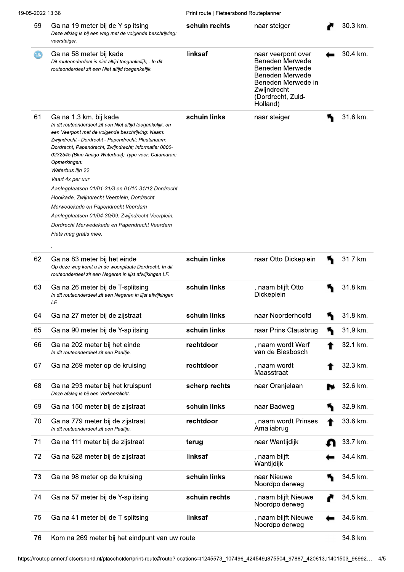#### 19-05-2022 13:36

Print route | Fietsersbond Routeplanner

| 59  | Ga na 19 meter bij de Y-splitsing<br>Deze afslag is bij een weg met de volgende beschrijving:<br>veersteiger.                                                                                                                                                                                                                                                                                                                                                                                                                                                                                                                                     | schuin rechts | naar steiger                                                                                                                                      | 30.3 km. |
|-----|---------------------------------------------------------------------------------------------------------------------------------------------------------------------------------------------------------------------------------------------------------------------------------------------------------------------------------------------------------------------------------------------------------------------------------------------------------------------------------------------------------------------------------------------------------------------------------------------------------------------------------------------------|---------------|---------------------------------------------------------------------------------------------------------------------------------------------------|----------|
| τg, | Ga na 58 meter bij kade<br>Dit routeonderdeel is niet altijd toegankelijk; . In dit<br>routeonderdeel zit een Niet altijd toegankelijk.                                                                                                                                                                                                                                                                                                                                                                                                                                                                                                           | linksaf       | naar veerpont over<br>Beneden Merwede<br>Beneden Merwede<br>Beneden Merwede<br>Beneden Merwede in<br>Zwijndrecht<br>(Dordrecht, Zuid-<br>Holland) | 30.4 km. |
| 61  | Ga na 1.3 km. bij kade<br>In dit routeonderdeel zit een Niet altijd toegankelijk, en<br>een Veerpont met de volgende beschrijving: Naam:<br>Zwijndrecht - Dordrecht - Papendrecht; Plaatsnaam:<br>Dordrecht, Papendrecht, Zwijndrecht; Informatie: 0800-<br>0232545 (Blue Amigo Waterbus), Type veer: Catamaran;<br>Opmerkingen:<br>Waterbus lijn 22<br>Vaart 4x per uur<br>Aanlegplaatsen 01/01-31/3 en 01/10-31/12 Dordrecht<br>Hooikade, Zwijndrecht Veerplein, Dordrecht<br>Merwedekade en Papendrecht Veerdam<br>Aanlegplaatsen 01/04-30/09: Zwijndrecht Veerplein,<br>Dordrecht Merwedekade en Papendrecht Veerdam<br>Fiets mag gratis mee. | schuin links  | naar steiger                                                                                                                                      | 31.6 km. |
| 62  | Ga na 83 meter bij het einde<br>Op deze weg komt u in de woonplaats Dordrecht. In dit<br>routeonderdeel zit een Negeren in lijst afwijkingen LF.                                                                                                                                                                                                                                                                                                                                                                                                                                                                                                  | schuin links  | naar Otto Dickeplein                                                                                                                              | 31.7 km. |
| 63  | Ga na 26 meter bij de T-splitsing<br>In dit routeonderdeel zit een Negeren in lijst afwijkingen<br>LF.                                                                                                                                                                                                                                                                                                                                                                                                                                                                                                                                            | schuin links  | , naam blijft Otto<br>Dickeplein                                                                                                                  | 31.8 km. |
| 64  | Ga na 27 meter bij de zijstraat                                                                                                                                                                                                                                                                                                                                                                                                                                                                                                                                                                                                                   | schuin links  | naar Noorderhoofd                                                                                                                                 | 31.8 km. |
| 65  | Ga na 90 meter bij de Y-splitsing                                                                                                                                                                                                                                                                                                                                                                                                                                                                                                                                                                                                                 | schuin links  | naar Prins Clausbrug                                                                                                                              | 31.9 km. |
| 66  | Ga na 202 meter bij het einde<br>In dit routeonderdeel zit een Paaltje.                                                                                                                                                                                                                                                                                                                                                                                                                                                                                                                                                                           | rechtdoor     | , naam wordt Werf<br>van de Biesbosch                                                                                                             | 32.1 km. |
| 67  | Ga na 269 meter op de kruising                                                                                                                                                                                                                                                                                                                                                                                                                                                                                                                                                                                                                    | rechtdoor     | , naam wordt<br>Maasstraat                                                                                                                        | 32.3 km. |
| 68  | Ga na 293 meter bij het kruispunt<br>Deze afslag is bij een Verkeerslicht.                                                                                                                                                                                                                                                                                                                                                                                                                                                                                                                                                                        | scherp rechts | naar Oranjelaan                                                                                                                                   | 32.6 km. |
| 69  | Ga na 150 meter bij de zijstraat                                                                                                                                                                                                                                                                                                                                                                                                                                                                                                                                                                                                                  | schuin links  | naar Badweg                                                                                                                                       | 32.9 km. |
| 70  | Ga na 779 meter bij de zijstraat<br>In dit routeonderdeel zit een Paaltje.                                                                                                                                                                                                                                                                                                                                                                                                                                                                                                                                                                        | rechtdoor     | , naam wordt Prinses<br>Amaliabrug                                                                                                                | 33.6 km. |
| 71  | Ga na 111 meter bij de zijstraat                                                                                                                                                                                                                                                                                                                                                                                                                                                                                                                                                                                                                  | terug         | naar Wantijdijk                                                                                                                                   | 33.7 km. |
| 72  | Ga na 628 meter bij de zijstraat                                                                                                                                                                                                                                                                                                                                                                                                                                                                                                                                                                                                                  | linksaf       | , naam blijft<br>Wantijdijk                                                                                                                       | 34.4 km. |
| 73  | Ga na 98 meter op de kruising                                                                                                                                                                                                                                                                                                                                                                                                                                                                                                                                                                                                                     | schuin links  | naar Nieuwe<br>Noordpolderweg                                                                                                                     | 34.5 km. |
| 74  | Ga na 57 meter bij de Y-splitsing                                                                                                                                                                                                                                                                                                                                                                                                                                                                                                                                                                                                                 | schuin rechts | , naam blijft Nieuwe<br>Noordpolderweg                                                                                                            | 34.5 km. |
|     |                                                                                                                                                                                                                                                                                                                                                                                                                                                                                                                                                                                                                                                   |               |                                                                                                                                                   |          |

Kom na 269 meter bij het eindpunt van uw route 76

34.8 km.